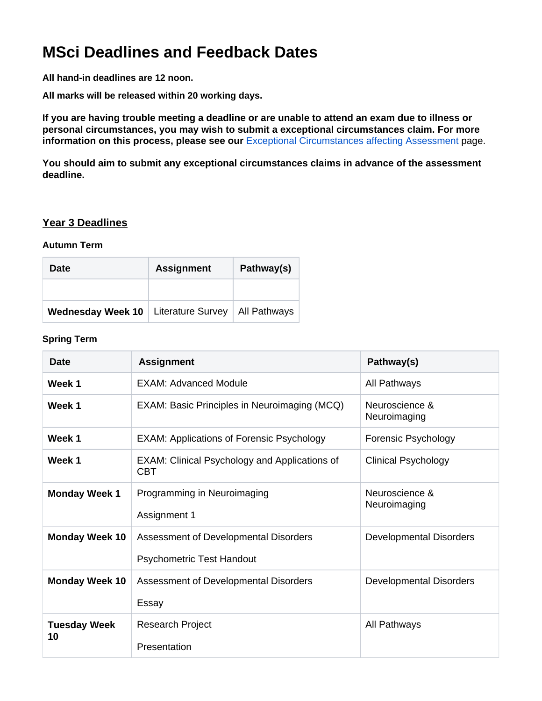# **MSci Deadlines and Feedback Dates**

**All hand-in deadlines are 12 noon.**

**All marks will be released within 20 working days.**

**If you are having trouble meeting a deadline or are unable to attend an exam due to illness or personal circumstances, you may wish to submit a exceptional circumstances claim. For more information on this process, please see our** [Exceptional Circumstances affecting Assessment](https://wiki.york.ac.uk/display/PsyStudentDocs/UG+Handbook+-++Exceptional+Circumstances+affecting+Assessment) page.

**You should aim to submit any exceptional circumstances claims in advance of the assessment deadline.**

#### **Year 3 Deadlines**

#### **Autumn Term**

| <b>Date</b>                                  | <b>Assignment</b> | Pathway(s)          |
|----------------------------------------------|-------------------|---------------------|
|                                              |                   |                     |
| <b>Wednesday Week 10</b>   Literature Survey |                   | <b>All Pathways</b> |

#### **Spring Term**

| <b>Date</b>               | <b>Assignment</b>                                                         | Pathway(s)                     |
|---------------------------|---------------------------------------------------------------------------|--------------------------------|
| Week 1                    | <b>EXAM: Advanced Module</b>                                              | All Pathways                   |
| Week 1                    | EXAM: Basic Principles in Neuroimaging (MCQ)                              | Neuroscience &<br>Neuroimaging |
| Week 1                    | <b>EXAM: Applications of Forensic Psychology</b>                          | Forensic Psychology            |
| Week 1                    | <b>EXAM: Clinical Psychology and Applications of</b><br><b>CBT</b>        | <b>Clinical Psychology</b>     |
| <b>Monday Week 1</b>      | Programming in Neuroimaging<br>Assignment 1                               | Neuroscience &<br>Neuroimaging |
| <b>Monday Week 10</b>     | Assessment of Developmental Disorders<br><b>Psychometric Test Handout</b> | <b>Developmental Disorders</b> |
| <b>Monday Week 10</b>     | Assessment of Developmental Disorders<br>Essay                            | <b>Developmental Disorders</b> |
| <b>Tuesday Week</b><br>10 | <b>Research Project</b><br>Presentation                                   | All Pathways                   |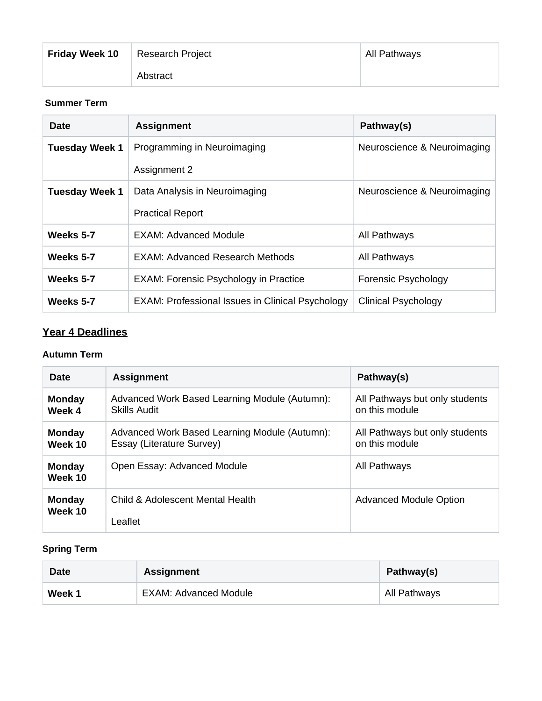| <b>Friday Week 10</b> | <b>Research Project</b> | All Pathways |
|-----------------------|-------------------------|--------------|
|                       | Abstract                |              |

## **Summer Term**

| <b>Date</b>           | <b>Assignment</b>                                       | Pathway(s)                  |
|-----------------------|---------------------------------------------------------|-----------------------------|
| <b>Tuesday Week 1</b> | Programming in Neuroimaging                             | Neuroscience & Neuroimaging |
|                       | Assignment 2                                            |                             |
| <b>Tuesday Week 1</b> | Data Analysis in Neuroimaging                           | Neuroscience & Neuroimaging |
|                       | <b>Practical Report</b>                                 |                             |
| Weeks 5-7             | EXAM: Advanced Module                                   | All Pathways                |
| Weeks 5-7             | <b>EXAM: Advanced Research Methods</b>                  | All Pathways                |
| Weeks 5-7             | <b>EXAM: Forensic Psychology in Practice</b>            | Forensic Psychology         |
| Weeks 5-7             | <b>EXAM: Professional Issues in Clinical Psychology</b> | <b>Clinical Psychology</b>  |

# **Year 4 Deadlines**

#### **Autumn Term**

| <b>Date</b>              | <b>Assignment</b>                                                          | Pathway(s)                                       |
|--------------------------|----------------------------------------------------------------------------|--------------------------------------------------|
| <b>Monday</b><br>Week 4  | Advanced Work Based Learning Module (Autumn):<br>Skills Audit              | All Pathways but only students<br>on this module |
| <b>Monday</b><br>Week 10 | Advanced Work Based Learning Module (Autumn):<br>Essay (Literature Survey) | All Pathways but only students<br>on this module |
| <b>Monday</b><br>Week 10 | Open Essay: Advanced Module                                                | All Pathways                                     |
| <b>Monday</b><br>Week 10 | Child & Adolescent Mental Health                                           | <b>Advanced Module Option</b>                    |
|                          | Leaflet                                                                    |                                                  |

# **Spring Term**

| <b>Date</b> | <b>Assignment</b>            | Pathway(s)   |
|-------------|------------------------------|--------------|
| Week 1      | <b>EXAM: Advanced Module</b> | All Pathways |